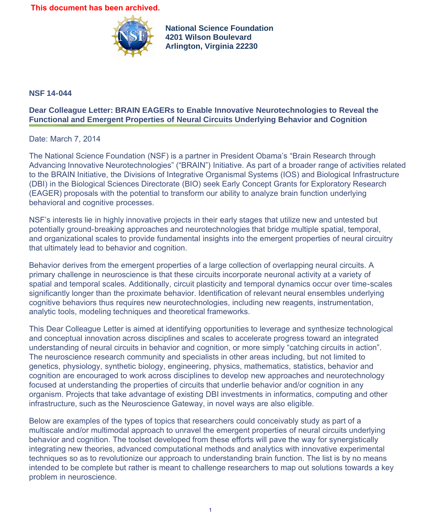**This document has been archived.**



**National Science Foundation 4201 Wilson Boulevard Arlington, Virginia 22230**

## **NSF 14-044**

## **Dear Colleague Letter: BRAIN EAGERs to Enable Innovative Neurotechnologies to Reveal the Functional and Emergent Properties of Neural Circuits Underlying Behavior and Cognition**

## Date: March 7, 2014

The National Science Foundation (NSF) is a partner in President Obama's "Brain Research through Advancing Innovative Neurotechnologies" ("BRAIN") Initiative. As part of a broader range of activities related to the BRAIN Initiative, the Divisions of Integrative Organismal Systems (IOS) and Biological Infrastructure (DBI) in the Biological Sciences Directorate (BIO) seek Early Concept Grants for Exploratory Research (EAGER) proposals with the potential to transform our ability to analyze brain function underlying behavioral and cognitive processes.

NSF's interests lie in highly innovative projects in their early stages that utilize new and untested but potentially ground-breaking approaches and neurotechnologies that bridge multiple spatial, temporal, and organizational scales to provide fundamental insights into the emergent properties of neural circuitry that ultimately lead to behavior and cognition.

Behavior derives from the emergent properties of a large collection of overlapping neural circuits. A primary challenge in neuroscience is that these circuits incorporate neuronal activity at a variety of spatial and temporal scales. Additionally, circuit plasticity and temporal dynamics occur over time-scales significantly longer than the proximate behavior. Identification of relevant neural ensembles underlying cognitive behaviors thus requires new neurotechnologies, including new reagents, instrumentation, analytic tools, modeling techniques and theoretical frameworks.

This Dear Colleague Letter is aimed at identifying opportunities to leverage and synthesize technological and conceptual innovation across disciplines and scales to accelerate progress toward an integrated understanding of neural circuits in behavior and cognition, or more simply "catching circuits in action". The neuroscience research community and specialists in other areas including, but not limited to genetics, physiology, synthetic biology, engineering, physics, mathematics, statistics, behavior and cognition are encouraged to work across disciplines to develop new approaches and neurotechnology focused at understanding the properties of circuits that underlie behavior and/or cognition in any organism. Projects that take advantage of existing DBI investments in informatics, computing and other infrastructure, such as the Neuroscience Gateway, in novel ways are also eligible.

Below are examples of the types of topics that researchers could conceivably study as part of a multiscale and/or multimodal approach to unravel the emergent properties of neural circuits underlying behavior and cognition. The toolset developed from these efforts will pave the way for synergistically integrating new theories, advanced computational methods and analytics with innovative experimental techniques so as to revolutionize our approach to understanding brain function. The list is by no means intended to be complete but rather is meant to challenge researchers to map out solutions towards a key problem in neuroscience.